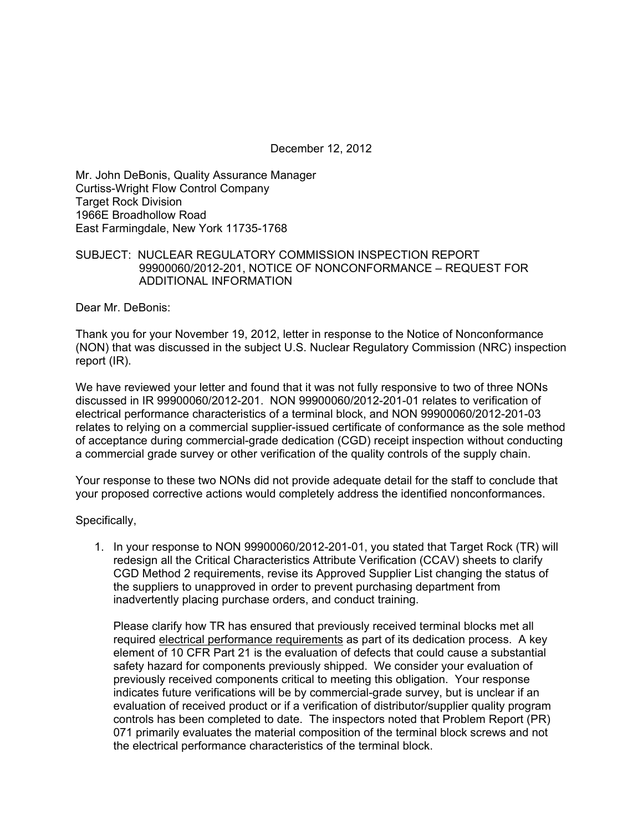December 12, 2012

Mr. John DeBonis, Quality Assurance Manager Curtiss-Wright Flow Control Company Target Rock Division 1966E Broadhollow Road East Farmingdale, New York 11735-1768

## SUBJECT: NUCLEAR REGULATORY COMMISSION INSPECTION REPORT 99900060/2012-201, NOTICE OF NONCONFORMANCE – REQUEST FOR ADDITIONAL INFORMATION

Dear Mr. DeBonis:

Thank you for your November 19, 2012, letter in response to the Notice of Nonconformance (NON) that was discussed in the subject U.S. Nuclear Regulatory Commission (NRC) inspection report (IR).

We have reviewed your letter and found that it was not fully responsive to two of three NONs discussed in IR 99900060/2012-201. NON 99900060/2012-201-01 relates to verification of electrical performance characteristics of a terminal block, and NON 99900060/2012-201-03 relates to relying on a commercial supplier-issued certificate of conformance as the sole method of acceptance during commercial-grade dedication (CGD) receipt inspection without conducting a commercial grade survey or other verification of the quality controls of the supply chain.

Your response to these two NONs did not provide adequate detail for the staff to conclude that your proposed corrective actions would completely address the identified nonconformances.

Specifically,

1. In your response to NON 99900060/2012-201-01, you stated that Target Rock (TR) will redesign all the Critical Characteristics Attribute Verification (CCAV) sheets to clarify CGD Method 2 requirements, revise its Approved Supplier List changing the status of the suppliers to unapproved in order to prevent purchasing department from inadvertently placing purchase orders, and conduct training.

Please clarify how TR has ensured that previously received terminal blocks met all required electrical performance requirements as part of its dedication process. A key element of 10 CFR Part 21 is the evaluation of defects that could cause a substantial safety hazard for components previously shipped. We consider your evaluation of previously received components critical to meeting this obligation. Your response indicates future verifications will be by commercial-grade survey, but is unclear if an evaluation of received product or if a verification of distributor/supplier quality program controls has been completed to date. The inspectors noted that Problem Report (PR) 071 primarily evaluates the material composition of the terminal block screws and not the electrical performance characteristics of the terminal block.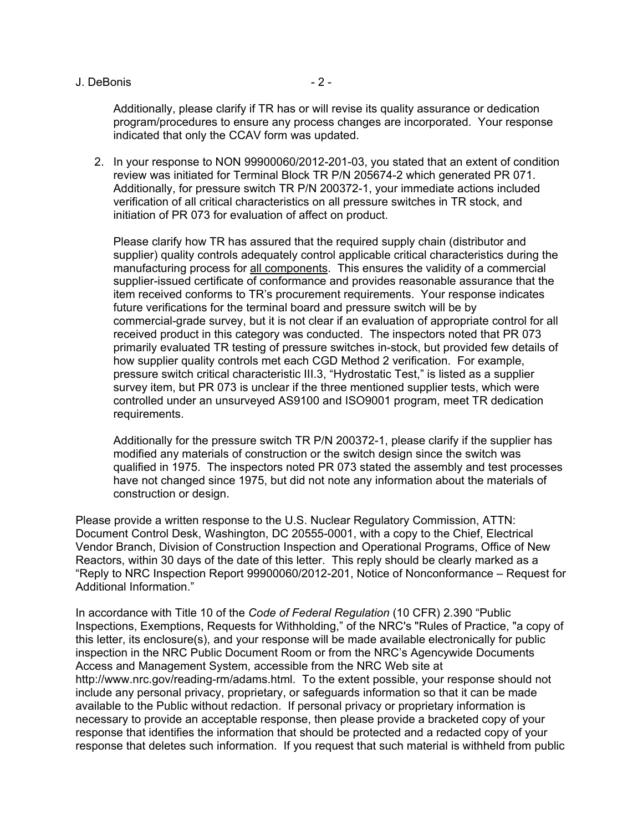J. DeBonis - 2 -

Additionally, please clarify if TR has or will revise its quality assurance or dedication program/procedures to ensure any process changes are incorporated. Your response indicated that only the CCAV form was updated.

2. In your response to NON 99900060/2012-201-03, you stated that an extent of condition review was initiated for Terminal Block TR P/N 205674-2 which generated PR 071. Additionally, for pressure switch TR P/N 200372-1, your immediate actions included verification of all critical characteristics on all pressure switches in TR stock, and initiation of PR 073 for evaluation of affect on product.

Please clarify how TR has assured that the required supply chain (distributor and supplier) quality controls adequately control applicable critical characteristics during the manufacturing process for all components. This ensures the validity of a commercial supplier-issued certificate of conformance and provides reasonable assurance that the item received conforms to TR's procurement requirements. Your response indicates future verifications for the terminal board and pressure switch will be by commercial-grade survey, but it is not clear if an evaluation of appropriate control for all received product in this category was conducted. The inspectors noted that PR 073 primarily evaluated TR testing of pressure switches in-stock, but provided few details of how supplier quality controls met each CGD Method 2 verification. For example, pressure switch critical characteristic III.3, "Hydrostatic Test," is listed as a supplier survey item, but PR 073 is unclear if the three mentioned supplier tests, which were controlled under an unsurveyed AS9100 and ISO9001 program, meet TR dedication requirements.

Additionally for the pressure switch TR P/N 200372-1, please clarify if the supplier has modified any materials of construction or the switch design since the switch was qualified in 1975. The inspectors noted PR 073 stated the assembly and test processes have not changed since 1975, but did not note any information about the materials of construction or design.

Please provide a written response to the U.S. Nuclear Regulatory Commission, ATTN: Document Control Desk, Washington, DC 20555-0001, with a copy to the Chief, Electrical Vendor Branch, Division of Construction Inspection and Operational Programs, Office of New Reactors, within 30 days of the date of this letter. This reply should be clearly marked as a "Reply to NRC Inspection Report 99900060/2012-201, Notice of Nonconformance – Request for Additional Information."

In accordance with Title 10 of the *Code of Federal Regulation* (10 CFR) 2.390 "Public Inspections, Exemptions, Requests for Withholding," of the NRC's "Rules of Practice, "a copy of this letter, its enclosure(s), and your response will be made available electronically for public inspection in the NRC Public Document Room or from the NRC's Agencywide Documents Access and Management System, accessible from the NRC Web site at http://www.nrc.gov/reading-rm/adams.html. To the extent possible, your response should not include any personal privacy, proprietary, or safeguards information so that it can be made available to the Public without redaction. If personal privacy or proprietary information is necessary to provide an acceptable response, then please provide a bracketed copy of your response that identifies the information that should be protected and a redacted copy of your response that deletes such information. If you request that such material is withheld from public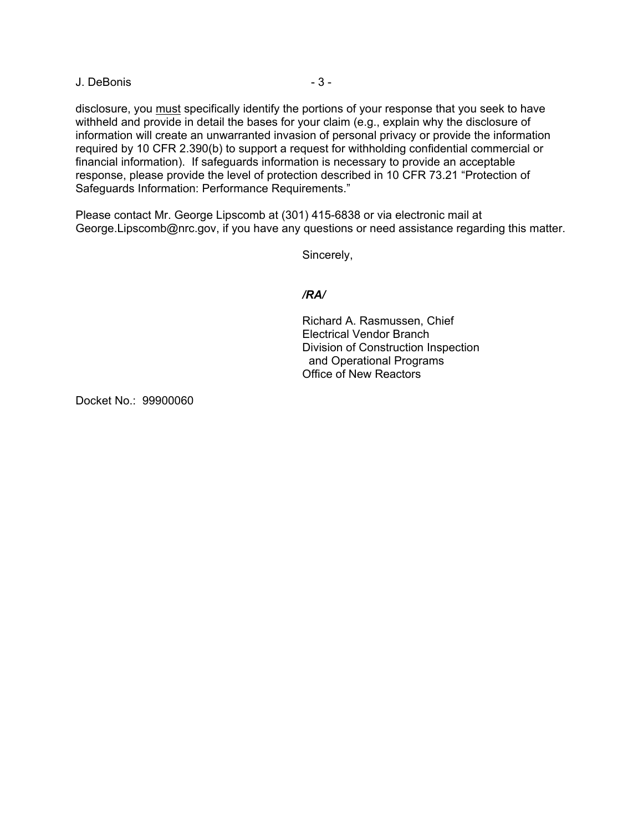J. DeBonis - 3 -

disclosure, you must specifically identify the portions of your response that you seek to have withheld and provide in detail the bases for your claim (e.g., explain why the disclosure of information will create an unwarranted invasion of personal privacy or provide the information required by 10 CFR 2.390(b) to support a request for withholding confidential commercial or financial information). If safeguards information is necessary to provide an acceptable response, please provide the level of protection described in 10 CFR 73.21 "Protection of Safeguards Information: Performance Requirements."

Please contact Mr. George Lipscomb at (301) 415-6838 or via electronic mail at George.Lipscomb@nrc.gov, if you have any questions or need assistance regarding this matter.

Sincerely,

## */RA/*

Richard A. Rasmussen, Chief Electrical Vendor Branch Division of Construction Inspection and Operational Programs Office of New Reactors

Docket No.: 99900060